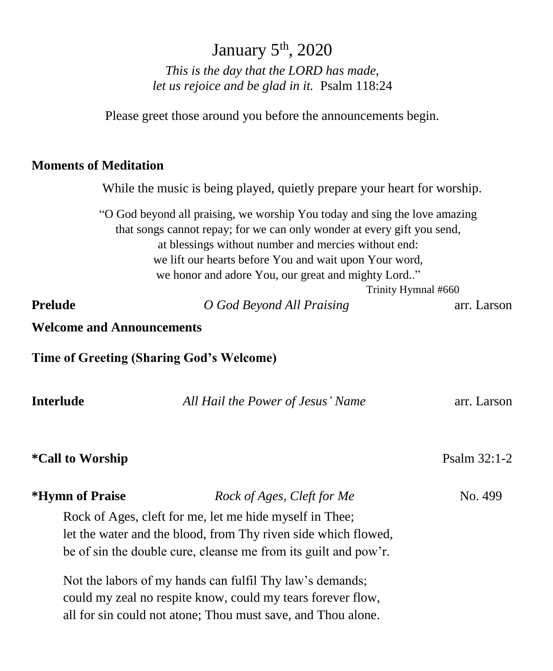January 5<sup>th</sup>, 2020 *This is the day that the LORD has made, let us rejoice and be glad in it.* Psalm 118:24

Please greet those around you before the announcements begin.

# **Moments of Meditation**

|                                  | While the music is being played, quietly prepare your heart for worship.                                                                                                                                                                                                                                                      |                     |
|----------------------------------|-------------------------------------------------------------------------------------------------------------------------------------------------------------------------------------------------------------------------------------------------------------------------------------------------------------------------------|---------------------|
|                                  | "O God beyond all praising, we worship You today and sing the love amazing<br>that songs cannot repay; for we can only wonder at every gift you send,<br>at blessings without number and mercies without end:<br>we lift our hearts before You and wait upon Your word,<br>we honor and adore You, our great and mighty Lord" | Trinity Hymnal #660 |
| Prelude                          | O God Beyond All Praising                                                                                                                                                                                                                                                                                                     | arr. Larson         |
| <b>Welcome and Announcements</b> |                                                                                                                                                                                                                                                                                                                               |                     |
|                                  | <b>Time of Greeting (Sharing God's Welcome)</b>                                                                                                                                                                                                                                                                               |                     |
| Interlude                        | All Hail the Power of Jesus' Name                                                                                                                                                                                                                                                                                             | arr. Larson         |
| <i><b>*Call to Worship</b></i>   |                                                                                                                                                                                                                                                                                                                               | Psalm $32:1-2$      |
| *Hymn of Praise                  | Rock of Ages, Cleft for Me                                                                                                                                                                                                                                                                                                    | No. 499             |
|                                  | Rock of Ages, cleft for me, let me hide myself in Thee;<br>let the water and the blood, from Thy riven side which flowed,<br>be of sin the double cure, cleanse me from its guilt and pow'r.                                                                                                                                  |                     |
|                                  | Not the labors of my hands can fulfil Thy law's demands;<br>could my zeal no respite know, could my tears forever flow,<br>all for sin could not atone; Thou must save, and Thou alone.                                                                                                                                       |                     |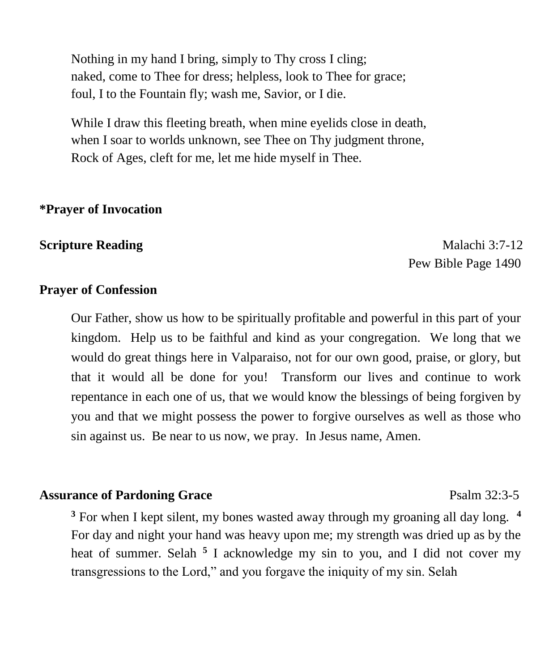Nothing in my hand I bring, simply to Thy cross I cling; naked, come to Thee for dress; helpless, look to Thee for grace; foul, I to the Fountain fly; wash me, Savior, or I die.

While I draw this fleeting breath, when mine eyelids close in death, when I soar to worlds unknown, see Thee on Thy judgment throne, Rock of Ages, cleft for me, let me hide myself in Thee.

### **\*Prayer of Invocation**

## **Scripture Reading** Malachi 3:7-12 Pew Bible Page 1490

### **Prayer of Confession**

Our Father, show us how to be spiritually profitable and powerful in this part of your kingdom. Help us to be faithful and kind as your congregation. We long that we would do great things here in Valparaiso, not for our own good, praise, or glory, but that it would all be done for you! Transform our lives and continue to work repentance in each one of us, that we would know the blessings of being forgiven by you and that we might possess the power to forgive ourselves as well as those who sin against us. Be near to us now, we pray. In Jesus name, Amen.

### **Assurance of Pardoning Grace** Psalm 32:3-5

**<sup>3</sup>** For when I kept silent, my bones wasted away through my groaning all day long. **<sup>4</sup>** For day and night your hand was heavy upon me; my strength was dried up as by the heat of summer. Selah **<sup>5</sup>** I acknowledge my sin to you, and I did not cover my transgressions to the Lord," and you forgave the iniquity of my sin. Selah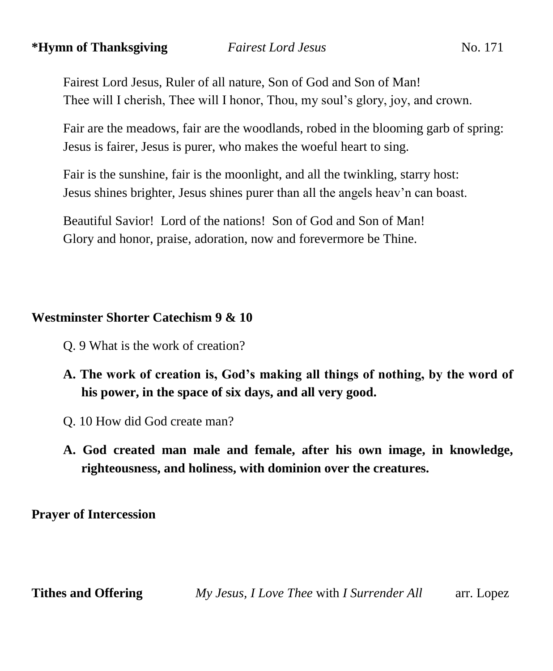Fairest Lord Jesus, Ruler of all nature, Son of God and Son of Man! Thee will I cherish, Thee will I honor, Thou, my soul's glory, joy, and crown.

Fair are the meadows, fair are the woodlands, robed in the blooming garb of spring: Jesus is fairer, Jesus is purer, who makes the woeful heart to sing.

Fair is the sunshine, fair is the moonlight, and all the twinkling, starry host: Jesus shines brighter, Jesus shines purer than all the angels heav'n can boast.

Beautiful Savior! Lord of the nations! Son of God and Son of Man! Glory and honor, praise, adoration, now and forevermore be Thine.

### **Westminster Shorter Catechism 9 & 10**

- Q. 9 What is the work of creation?
- **A. The work of creation is, God's making all things of nothing, by the word of his power, in the space of six days, and all very good.**
- Q. 10 How did God create man?
- **A. God created man male and female, after his own image, in knowledge, righteousness, and holiness, with dominion over the creatures.**

**Prayer of Intercession**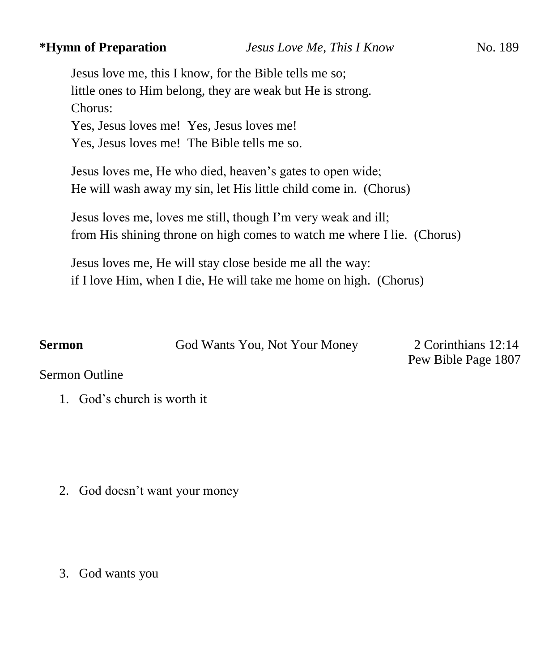Jesus love me, this I know, for the Bible tells me so; little ones to Him belong, they are weak but He is strong. Chorus: Yes, Jesus loves me! Yes, Jesus loves me! Yes, Jesus loves me! The Bible tells me so.

Jesus loves me, He who died, heaven's gates to open wide; He will wash away my sin, let His little child come in. (Chorus)

Jesus loves me, loves me still, though I'm very weak and ill; from His shining throne on high comes to watch me where I lie. (Chorus)

Jesus loves me, He will stay close beside me all the way: if I love Him, when I die, He will take me home on high. (Chorus)

**Sermon God Wants You, Not Your Money** 2 Corinthians 12:14

Pew Bible Page 1807

### Sermon Outline

1. God's church is worth it

2. God doesn't want your money

3. God wants you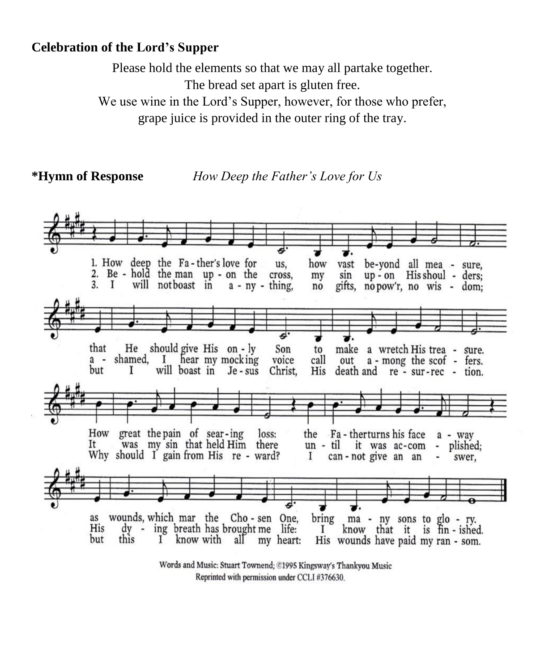### **Celebration of the Lord's Supper**

Please hold the elements so that we may all partake together. The bread set apart is gluten free. We use wine in the Lord's Supper, however, for those who prefer, grape juice is provided in the outer ring of the tray.

**\*Hymn of Response** *How Deep the Father's Love for Us* 



Words and Music: Stuart Townend; @1995 Kingsway's Thankyou Music Reprinted with permission under CCLI #376630.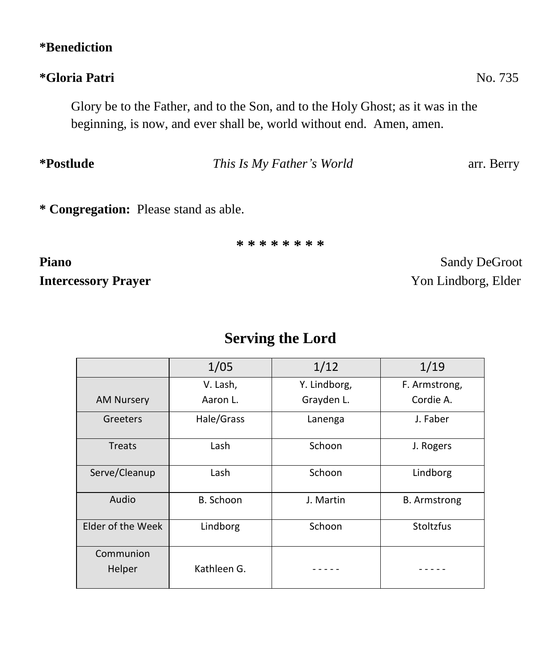## **\*Benediction**

## **\*Gloria Patri** No. 735

Glory be to the Father, and to the Son, and to the Holy Ghost; as it was in the beginning, is now, and ever shall be, world without end. Amen, amen.

| *Postlude | This Is My Father's World | arr. Berry |
|-----------|---------------------------|------------|
|           |                           |            |

**\* Congregation:** Please stand as able.

**\* \* \* \* \* \* \* \***

Piano **Sandy DeGroot Intercessory Prayer** Yon Lindborg, Elder

# **Serving the Lord**

|                     | 1/05        | 1/12         | 1/19                |
|---------------------|-------------|--------------|---------------------|
|                     | V. Lash,    | Y. Lindborg, | F. Armstrong,       |
| <b>AM Nursery</b>   | Aaron L.    | Grayden L.   | Cordie A.           |
| Greeters            | Hale/Grass  | Lanenga      | J. Faber            |
| Treats              | Lash        | Schoon       | J. Rogers           |
| Serve/Cleanup       | Lash        | Schoon       | Lindborg            |
| Audio               | B. Schoon   | J. Martin    | <b>B.</b> Armstrong |
| Elder of the Week   | Lindborg    | Schoon       | Stoltzfus           |
| Communion<br>Helper | Kathleen G. |              |                     |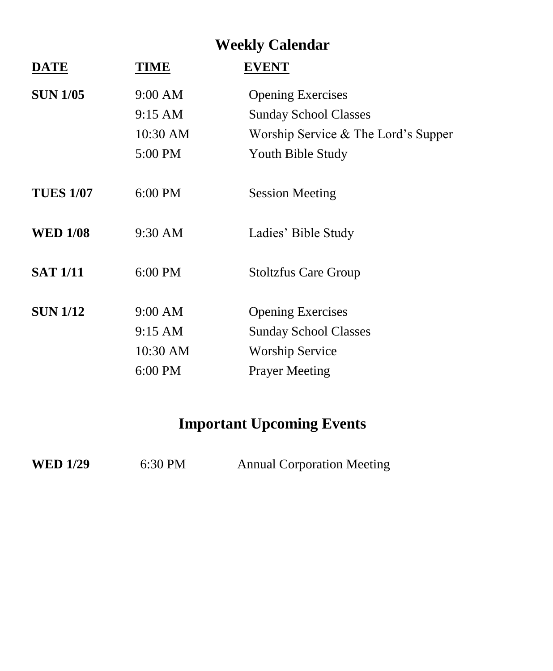# **Weekly Calendar**

| <b>DATE</b>      | <b>TIME</b> | <b>EVENT</b>                        |
|------------------|-------------|-------------------------------------|
| <b>SUN 1/05</b>  | 9:00 AM     | <b>Opening Exercises</b>            |
|                  | 9:15 AM     | <b>Sunday School Classes</b>        |
|                  | 10:30 AM    | Worship Service & The Lord's Supper |
|                  | 5:00 PM     | Youth Bible Study                   |
| <b>TUES 1/07</b> | 6:00 PM     | <b>Session Meeting</b>              |
| <b>WED 1/08</b>  | 9:30 AM     | Ladies' Bible Study                 |
| <b>SAT 1/11</b>  | 6:00 PM     | <b>Stoltzfus Care Group</b>         |
| <b>SUN 1/12</b>  | 9:00 AM     | <b>Opening Exercises</b>            |
|                  | 9:15 AM     | <b>Sunday School Classes</b>        |
|                  | 10:30 AM    | <b>Worship Service</b>              |
|                  | 6:00 PM     | <b>Prayer Meeting</b>               |

# **Important Upcoming Events**

| <b>WED 1/29</b> | 6:30 PM | <b>Annual Corporation Meeting</b> |
|-----------------|---------|-----------------------------------|
|-----------------|---------|-----------------------------------|